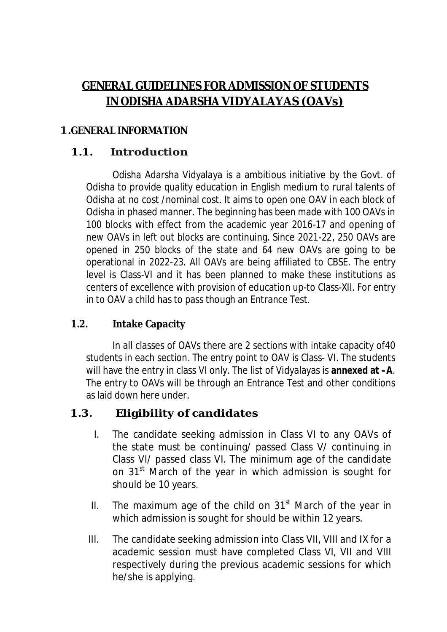# **GENERAL GUIDELINES FOR ADMISSION OF STUDENTS IN ODISHA ADARSHA VIDYALAYAS (OAVs)**

#### **1.GENERAL INFORMATION**

#### **1.1. Introduction**

Odisha Adarsha Vidyalaya is a ambitious initiative by the Govt. of Odisha to provide quality education in English medium to rural talents of Odisha at no cost /nominal cost. It aims to open one OAV in each block of Odisha in phased manner. The beginning has been made with 100 OAVs in 100 blocks with effect from the academic year 2016-17 and opening of new OAVs in left out blocks are continuing. Since 2021-22, 250 OAVs are opened in 250 blocks of the state and 64 new OAVs are going to be operational in 2022-23. All OAVs are being affiliated to CBSE. The entry level is Class-VI and it has been planned to make these institutions as centers of excellence with provision of education up-to Class-XII. For entry in to OAV a child has to pass though an Entrance Test.

#### **1.2. Intake Capacity**

In all classes of OAVs there are 2 sections with intake capacity of40 students in each section. The entry point to OAV is Class- VI. The students will have the entry in class VI only. The list of Vidyalayas is **annexed at –A**. The entry to OAVs will be through an Entrance Test and other conditions as laid down here under.

### **1.3. Eligibility of candidates**

- I. The candidate seeking admission in Class VI to any OAVs of the state must be continuing/ passed Class V/ continuing in Class VI/ passed class VI. The minimum age of the candidate on 31<sup>st</sup> March of the year in which admission is sought for should be 10 years.
- II. The maximum age of the child on  $31<sup>st</sup>$  March of the year in which admission is sought for should be within 12 years.
- III. The candidate seeking admission into Class VII, VIII and IX for a academic session must have completed Class VI, VII and VIII respectively during the previous academic sessions for which he/she is applying.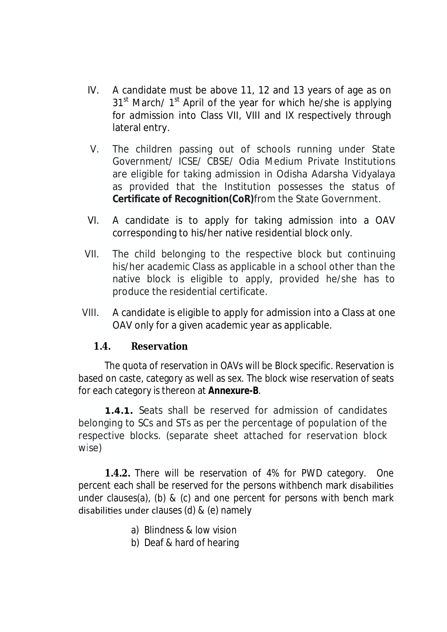- IV. A candidate must be above 11, 12 and 13 years of age as on 31<sup>st</sup> March/ 1<sup>st</sup> April of the year for which he/she is applying for admission into Class VII, VIII and IX respectively through lateral entry.
- V. The children passing out of schools running under State Government/ ICSE/ CBSE/ Odia Medium Private Institutions are eligible for taking admission in Odisha Adarsha Vidyalaya as provided that the Institution possesses the status of **Certificate of Recognition(CoR)**from the State Government.
- VI. A candidate is to apply for taking admission into a OAV corresponding to his/her native residential block only.
- VII. The child belonging to the respective block but continuing his/her academic Class as applicable in a school other than the native block is eligible to apply, provided he/she has to produce the residential certificate.
- VIII. A candidate is eligible to apply for admission into a Class at one OAV only for a given academic year as applicable.

#### **1.4. Reservation**

The quota of reservation in OAVs will be Block specific. Reservation is based on caste, category as well as sex. The block wise reservation of seats for each category is thereon at **Annexure-B**.

**1.4.1.** Seats shall be reserved for admission of candidates belonging to SCs and STs as per the percentage of population of the respective blocks. (separate sheet attached for reservation block wise)

**1.4.2.** There will be reservation of 4% for PWD category. One percent each shall be reserved for the persons withbench mark disabilities under clauses(a), (b) & (c) and one percent for persons with bench mark disabilities under clauses (d)  $&$  (e) namely

- a) Blindness & low vision
- b) Deaf & hard of hearing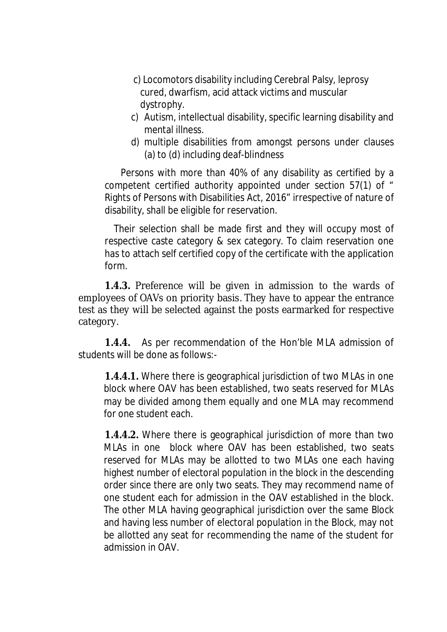- c) Locomotors disability including Cerebral Palsy, leprosy cured, dwarfism, acid attack victims and muscular dystrophy.
- c) Autism, intellectual disability, specific learning disability and mental illness.
- d) multiple disabilities from amongst persons under clauses (a) to (d) including deaf-blindness

 Persons with more than 40% of any disability as certified by a competent certified authority appointed under section 57(1) of " Rights of Persons with Disabilities Act, 2016" irrespective of nature of disability, shall be eligible for reservation.

 Their selection shall be made first and they will occupy most of respective caste category & sex category. To claim reservation one has to attach self certified copy of the certificate with the application form.

**1.4.3.** Preference will be given in admission to the wards of employees of OAVs on priority basis. They have to appear the entrance test as they will be selected against the posts earmarked for respective category.

**1.4.4.** As per recommendation of the Hon'ble MLA admission of students will be done as follows:-

**1.4.4.1.** Where there is geographical jurisdiction of two MLAs in one block where OAV has been established, two seats reserved for MLAs may be divided among them equally and one MLA may recommend for one student each.

**1.4.4.2.** Where there is geographical jurisdiction of more than two MLAs in one block where OAV has been established, two seats reserved for MLAs may be allotted to two MLAs one each having highest number of electoral population in the block in the descending order since there are only two seats. They may recommend name of one student each for admission in the OAV established in the block. The other MLA having geographical jurisdiction over the same Block and having less number of electoral population in the Block, may not be allotted any seat for recommending the name of the student for admission in OAV.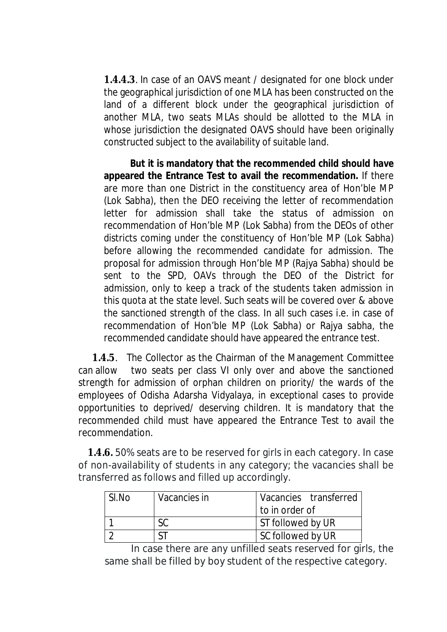**1.4.4.3**. In case of an OAVS meant / designated for one block under the geographical jurisdiction of one MLA has been constructed on the land of a different block under the geographical jurisdiction of another MLA, two seats MLAs should be allotted to the MLA in whose jurisdiction the designated OAVS should have been originally constructed subject to the availability of suitable land.

**But it is mandatory that the recommended child should have appeared the Entrance Test to avail the recommendation.** If there are more than one District in the constituency area of Hon'ble MP (Lok Sabha), then the DEO receiving the letter of recommendation letter for admission shall take the status of admission on recommendation of Hon'ble MP (Lok Sabha) from the DEOs of other districts coming under the constituency of Hon'ble MP (Lok Sabha) before allowing the recommended candidate for admission. The proposal for admission through Hon'ble MP (Rajya Sabha) should be sent to the SPD, OAVs through the DEO of the District for admission, only to keep a track of the students taken admission in this quota at the state level. Such seats will be covered over & above the sanctioned strength of the class. In all such cases i.e. in case of recommendation of Hon'ble MP (Lok Sabha) or Rajya sabha, the recommended candidate should have appeared the entrance test.

 **1.4.5**. The Collector as the Chairman of the Management Committee can allow two seats per class VI only over and above the sanctioned strength for admission of orphan children on priority/ the wards of the employees of Odisha Adarsha Vidyalaya, in exceptional cases to provide opportunities to deprived/ deserving children. It is mandatory that the recommended child must have appeared the Entrance Test to avail the recommendation.

 **1.4.6.** 50% seats are to be reserved for girls in each category. In case of non-availability of students in any category; the vacancies shall be transferred as follows and filled up accordingly.

| SI.No | Vacancies in | Vacancies transferred |
|-------|--------------|-----------------------|
|       |              | I to in order of      |
|       |              | ST followed by UR     |
|       |              | SC followed by UR     |

In case there are any unfilled seats reserved for girls, the same shall be filled by boy student of the respective category.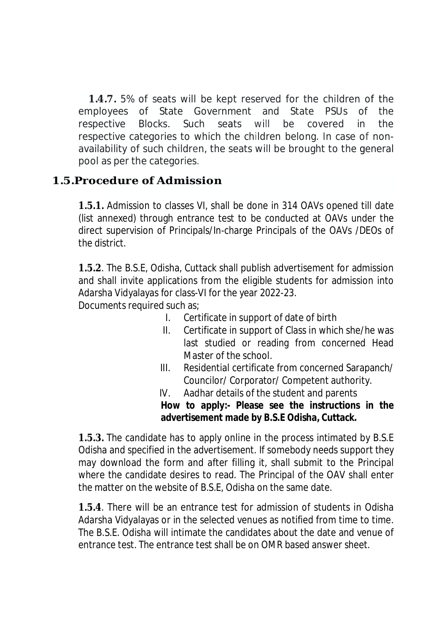**1.4.7.** 5% of seats will be kept reserved for the children of the employees of State Government and State PSUs of the respective Blocks. Such seats will be covered in the respective categories to which the children belong. In case of nonavailability of such children, the seats will be brought to the general pool as per the categories.

## **1.5.Procedure of Admission**

**1.5.1.** Admission to classes VI, shall be done in 314 OAVs opened till date (list annexed) through entrance test to be conducted at OAVs under the direct supervision of Principals/In-charge Principals of the OAVs /DEOs of the district.

**1.5.2**. The B.S.E, Odisha, Cuttack shall publish advertisement for admission and shall invite applications from the eligible students for admission into Adarsha Vidyalayas for class-VI for the year 2022-23.

Documents required such as;

- I. Certificate in support of date of birth
- II. Certificate in support of Class in which she/he was last studied or reading from concerned Head Master of the school.
- III. Residential certificate from concerned Sarapanch/ Councilor/ Corporator/ Competent authority.
- IV. Aadhar details of the student and parents

**How to apply:- Please see the instructions in the advertisement made by B.S.E Odisha, Cuttack.** 

**1.5.3.** The candidate has to apply online in the process intimated by B.S.E Odisha and specified in the advertisement. If somebody needs support they may download the form and after filling it, shall submit to the Principal where the candidate desires to read. The Principal of the OAV shall enter the matter on the website of B.S.E, Odisha on the same date.

**1.5.4**. There will be an entrance test for admission of students in Odisha Adarsha Vidyalayas or in the selected venues as notified from time to time. The B.S.E. Odisha will intimate the candidates about the date and venue of entrance test. The entrance test shall be on OMR based answer sheet.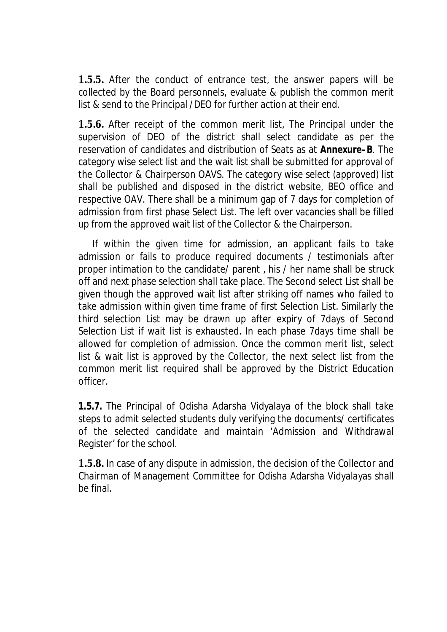**1.5.5.** After the conduct of entrance test, the answer papers will be collected by the Board personnels, evaluate & publish the common merit list & send to the Principal /DEO for further action at their end.

**1.5.6.** After receipt of the common merit list, The Principal under the supervision of DEO of the district shall select candidate as per the reservation of candidates and distribution of Seats as at **Annexure–B**. The category wise select list and the wait list shall be submitted for approval of the Collector & Chairperson OAVS. The category wise select (approved) list shall be published and disposed in the district website, BEO office and respective OAV. There shall be a minimum gap of 7 days for completion of admission from first phase Select List. The left over vacancies shall be filled up from the approved wait list of the Collector & the Chairperson.

 If within the given time for admission, an applicant fails to take admission or fails to produce required documents / testimonials after proper intimation to the candidate/ parent , his / her name shall be struck off and next phase selection shall take place. The Second select List shall be given though the approved wait list after striking off names who failed to take admission within given time frame of first Selection List. Similarly the third selection List may be drawn up after expiry of 7days of Second Selection List if wait list is exhausted. In each phase 7days time shall be allowed for completion of admission. Once the common merit list, select list & wait list is approved by the Collector, the next select list from the common merit list required shall be approved by the District Education officer.

**1.5.7.** The Principal of Odisha Adarsha Vidyalaya of the block shall take steps to admit selected students duly verifying the documents/ certificates of the selected candidate and maintain 'Admission and Withdrawal Register' for the school.

**1.5.8.** In case of any dispute in admission, the decision of the Collector and Chairman of Management Committee for Odisha Adarsha Vidyalayas shall be final.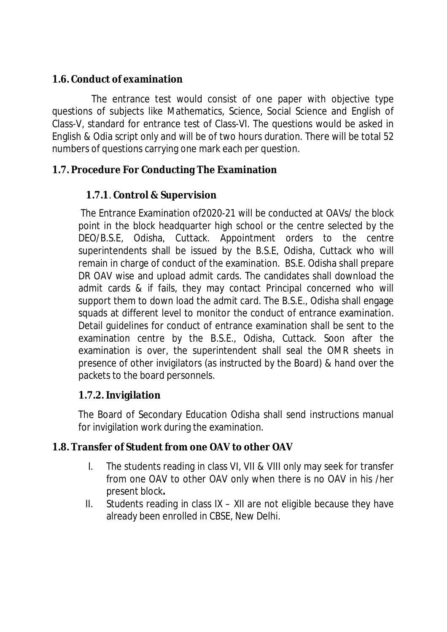### **1.6. Conduct of examination**

The entrance test would consist of one paper with objective type questions of subjects like Mathematics, Science, Social Science and English of Class-V, standard for entrance test of Class-VI. The questions would be asked in English & Odia script only and will be of two hours duration. There will be total 52 numbers of questions carrying one mark each per question.

### **1.7. Procedure For Conducting The Examination**

### **1.7.1**. **Control & Supervision**

The Entrance Examination of2020-21 will be conducted at OAVs/ the block point in the block headquarter high school or the centre selected by the DEO/B.S.E, Odisha, Cuttack. Appointment orders to the centre superintendents shall be issued by the B.S.E, Odisha, Cuttack who will remain in charge of conduct of the examination. BS.E. Odisha shall prepare DR OAV wise and upload admit cards. The candidates shall download the admit cards & if fails, they may contact Principal concerned who will support them to down load the admit card. The B.S.E., Odisha shall engage squads at different level to monitor the conduct of entrance examination. Detail guidelines for conduct of entrance examination shall be sent to the examination centre by the B.S.E., Odisha, Cuttack. Soon after the examination is over, the superintendent shall seal the OMR sheets in presence of other invigilators (as instructed by the Board) & hand over the packets to the board personnels.

### **1.7.2. Invigilation**

The Board of Secondary Education Odisha shall send instructions manual for invigilation work during the examination.

### **1.8. Transfer of Student from one OAV to other OAV**

- I. The students reading in class VI, VII & VIII only may seek for transfer from one OAV to other OAV only when there is no OAV in his /her present block**.**
- II. Students reading in class  $IX XII$  are not eligible because they have already been enrolled in CBSE, New Delhi.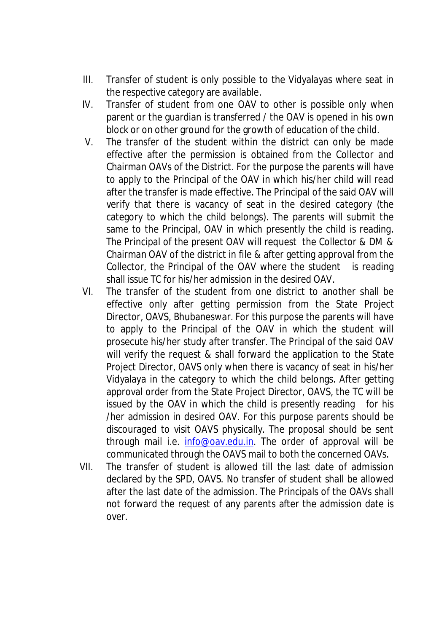- III. Transfer of student is only possible to the Vidyalayas where seat in the respective category are available.
- IV. Transfer of student from one OAV to other is possible only when parent or the guardian is transferred / the OAV is opened in his own block or on other ground for the growth of education of the child.
- V. The transfer of the student within the district can only be made effective after the permission is obtained from the Collector and Chairman OAVs of the District. For the purpose the parents will have to apply to the Principal of the OAV in which his/her child will read after the transfer is made effective. The Principal of the said OAV will verify that there is vacancy of seat in the desired category (the category to which the child belongs). The parents will submit the same to the Principal, OAV in which presently the child is reading. The Principal of the present OAV will request the Collector & DM & Chairman OAV of the district in file & after getting approval from the Collector, the Principal of the OAV where the student is reading shall issue TC for his/her admission in the desired OAV.
- VI. The transfer of the student from one district to another shall be effective only after getting permission from the State Project Director, OAVS, Bhubaneswar. For this purpose the parents will have to apply to the Principal of the OAV in which the student will prosecute his/her study after transfer. The Principal of the said OAV will verify the request & shall forward the application to the State Project Director, OAVS only when there is vacancy of seat in his/her Vidyalaya in the category to which the child belongs. After getting approval order from the State Project Director, OAVS, the TC will be issued by the OAV in which the child is presently reading for his /her admission in desired OAV. For this purpose parents should be discouraged to visit OAVS physically. The proposal should be sent through mail i.e. info@oav.edu.in. The order of approval will be communicated through the OAVS mail to both the concerned OAVs.
- VII. The transfer of student is allowed till the last date of admission declared by the SPD, OAVS. No transfer of student shall be allowed after the last date of the admission. The Principals of the OAVs shall not forward the request of any parents after the admission date is over.